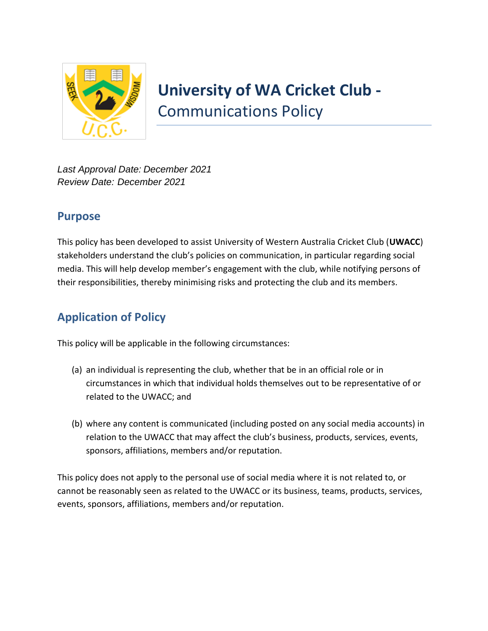

*Last Approval Date: December 2021 Review Date: December 2021*

## **Purpose**

This policy has been developed to assist University of Western Australia Cricket Club (**UWACC**) stakeholders understand the club's policies on communication, in particular regarding social media. This will help develop member's engagement with the club, while notifying persons of their responsibilities, thereby minimising risks and protecting the club and its members.

# **Application of Policy**

This policy will be applicable in the following circumstances:

- (a) an individual is representing the club, whether that be in an official role or in circumstances in which that individual holds themselves out to be representative of or related to the UWACC; and
- (b) where any content is communicated (including posted on any social media accounts) in relation to the UWACC that may affect the club's business, products, services, events, sponsors, affiliations, members and/or reputation.

This policy does not apply to the personal use of social media where it is not related to, or cannot be reasonably seen as related to the UWACC or its business, teams, products, services, events, sponsors, affiliations, members and/or reputation.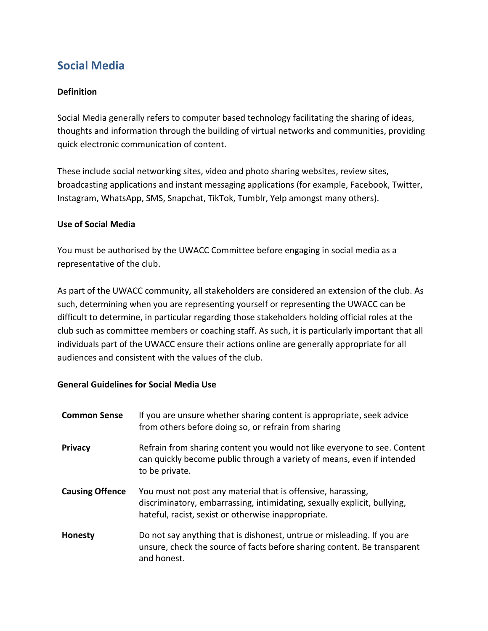# **Social Media**

### **Definition**

Social Media generally refers to computer based technology facilitating the sharing of ideas, thoughts and information through the building of virtual networks and communities, providing quick electronic communication of content.

These include social networking sites, video and photo sharing websites, review sites, broadcasting applications and instant messaging applications (for example, Facebook, Twitter, Instagram, WhatsApp, SMS, Snapchat, TikTok, Tumblr, Yelp amongst many others).

#### **Use of Social Media**

You must be authorised by the UWACC Committee before engaging in social media as a representative of the club.

As part of the UWACC community, all stakeholders are considered an extension of the club. As such, determining when you are representing yourself or representing the UWACC can be difficult to determine, in particular regarding those stakeholders holding official roles at the club such as committee members or coaching staff. As such, it is particularly important that all individuals part of the UWACC ensure their actions online are generally appropriate for all audiences and consistent with the values of the club.

### **General Guidelines for Social Media Use**

| <b>Common Sense</b>    | If you are unsure whether sharing content is appropriate, seek advice<br>from others before doing so, or refrain from sharing                                                                   |
|------------------------|-------------------------------------------------------------------------------------------------------------------------------------------------------------------------------------------------|
| <b>Privacy</b>         | Refrain from sharing content you would not like everyone to see. Content<br>can quickly become public through a variety of means, even if intended<br>to be private.                            |
| <b>Causing Offence</b> | You must not post any material that is offensive, harassing,<br>discriminatory, embarrassing, intimidating, sexually explicit, bullying,<br>hateful, racist, sexist or otherwise inappropriate. |
| Honesty                | Do not say anything that is dishonest, untrue or misleading. If you are<br>unsure, check the source of facts before sharing content. Be transparent<br>and honest.                              |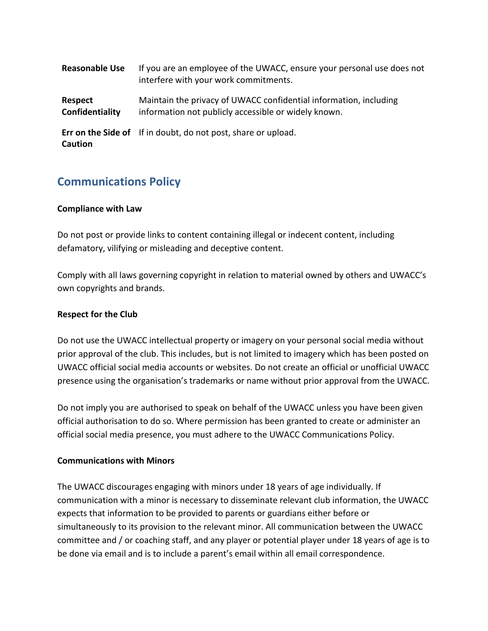| <b>Reasonable Use</b>      | If you are an employee of the UWACC, ensure your personal use does not<br>interfere with your work commitments.           |
|----------------------------|---------------------------------------------------------------------------------------------------------------------------|
| Respect<br>Confidentiality | Maintain the privacy of UWACC confidential information, including<br>information not publicly accessible or widely known. |
| <b>Caution</b>             | Err on the Side of If in doubt, do not post, share or upload.                                                             |

## **Communications Policy**

#### **Compliance with Law**

Do not post or provide links to content containing illegal or indecent content, including defamatory, vilifying or misleading and deceptive content.

Comply with all laws governing copyright in relation to material owned by others and UWACC's own copyrights and brands.

#### **Respect for the Club**

Do not use the UWACC intellectual property or imagery on your personal social media without prior approval of the club. This includes, but is not limited to imagery which has been posted on UWACC official social media accounts or websites. Do not create an official or unofficial UWACC presence using the organisation's trademarks or name without prior approval from the UWACC.

Do not imply you are authorised to speak on behalf of the UWACC unless you have been given official authorisation to do so. Where permission has been granted to create or administer an official social media presence, you must adhere to the UWACC Communications Policy.

#### **Communications with Minors**

The UWACC discourages engaging with minors under 18 years of age individually. If communication with a minor is necessary to disseminate relevant club information, the UWACC expects that information to be provided to parents or guardians either before or simultaneously to its provision to the relevant minor. All communication between the UWACC committee and / or coaching staff, and any player or potential player under 18 years of age is to be done via email and is to include a parent's email within all email correspondence.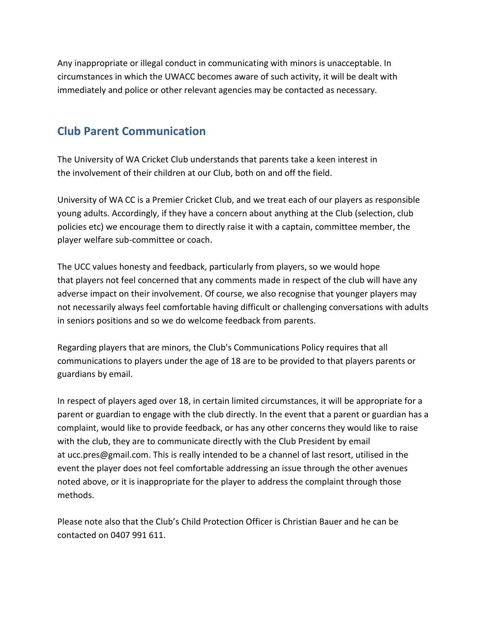Any inappropriate or illegal conduct in communicating with minors is unacceptable. In circumstances in which the UWACC becomes aware of such activity, it will be dealt with immediately and police or other relevant agencies may be contacted as necessary.

# **Club Parent Communication**

The University of WA Cricket Club understands that parents take a keen interest in the involvement of their children at our Club, both on and off the field.

University of WA CC is a Premier Cricket Club, and we treat each of our players as responsible young adults. Accordingly, if they have a concern about anything at the Club (selection, club policies etc) we encourage them to directly raise it with a captain, committee member, the player welfare sub-committee or coach.

The UCC values honesty and feedback, particularly from players, so we would hope that players not feel concerned that any comments made in respect of the club will have any adverse impact on their involvement. Of course, we also recognise that younger players may not necessarily always feel comfortable having difficult or challenging conversations with adults in seniors positions and so we do welcome feedback from parents.

Regarding players that are minors, the Club's Communications Policy requires that all communications to players under the age of 18 are to be provided to that players parents or guardians by email.

In respect of players aged over 18, in certain limited circumstances, it will be appropriate for a parent or guardian to engage with the club directly. In the event that a parent or guardian has a complaint, would like to provide feedback, or has any other concerns they would like to raise with the club, they are to communicate directly with the Club President by email at [ucc.pres@gmail.com.](mailto:ucc.pres@gmail.com) This is really intended to be a channel of last resort, utilised in the event the player does not feel comfortable addressing an issue through the other avenues noted above, or it is inappropriate for the player to address the complaint through those methods.

Please note also that the Club's Child Protection Officer is Christian Bauer and he can be contacted on 0407 991 611.